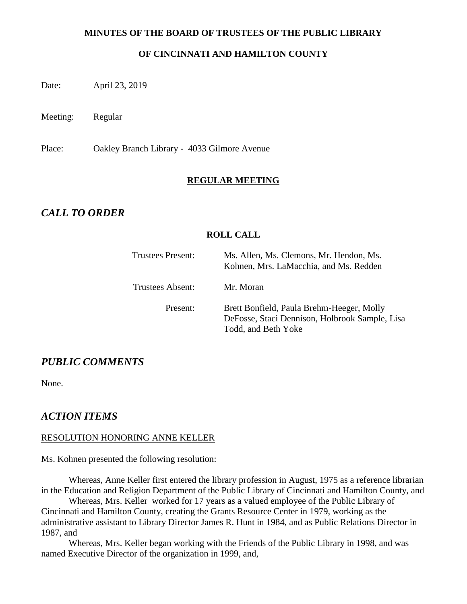#### **MINUTES OF THE BOARD OF TRUSTEES OF THE PUBLIC LIBRARY**

#### **OF CINCINNATI AND HAMILTON COUNTY**

Date: April 23, 2019

Meeting: Regular

Place: Oakley Branch Library - 4033 Gilmore Avenue

#### **REGULAR MEETING**

### *CALL TO ORDER*

#### **ROLL CALL**

| <b>Trustees Present:</b> | Ms. Allen, Ms. Clemons, Mr. Hendon, Ms.<br>Kohnen, Mrs. LaMacchia, and Ms. Redden                                  |
|--------------------------|--------------------------------------------------------------------------------------------------------------------|
| Trustees Absent:         | Mr. Moran                                                                                                          |
| Present:                 | Brett Bonfield, Paula Brehm-Heeger, Molly<br>DeFosse, Staci Dennison, Holbrook Sample, Lisa<br>Todd, and Beth Yoke |

### *PUBLIC COMMENTS*

None.

### *ACTION ITEMS*

#### RESOLUTION HONORING ANNE KELLER

Ms. Kohnen presented the following resolution:

Whereas, Anne Keller first entered the library profession in August, 1975 as a reference librarian in the Education and Religion Department of the Public Library of Cincinnati and Hamilton County, and

Whereas, Mrs. Keller worked for 17 years as a valued employee of the Public Library of Cincinnati and Hamilton County, creating the Grants Resource Center in 1979, working as the administrative assistant to Library Director James R. Hunt in 1984, and as Public Relations Director in 1987, and

Whereas, Mrs. Keller began working with the Friends of the Public Library in 1998, and was named Executive Director of the organization in 1999, and,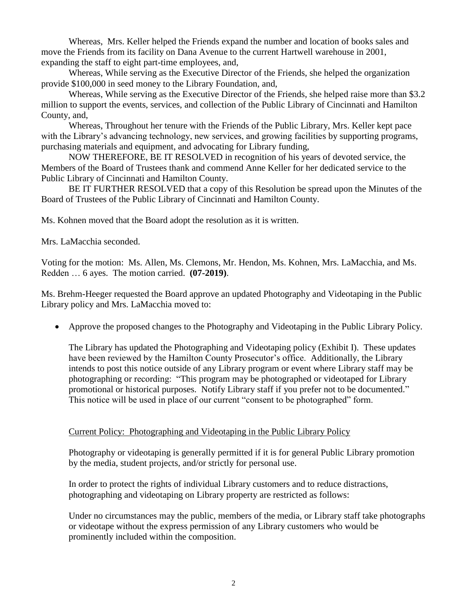Whereas, Mrs. Keller helped the Friends expand the number and location of books sales and move the Friends from its facility on Dana Avenue to the current Hartwell warehouse in 2001, expanding the staff to eight part-time employees, and,

Whereas, While serving as the Executive Director of the Friends, she helped the organization provide \$100,000 in seed money to the Library Foundation, and,

Whereas, While serving as the Executive Director of the Friends, she helped raise more than \$3.2 million to support the events, services, and collection of the Public Library of Cincinnati and Hamilton County, and,

Whereas, Throughout her tenure with the Friends of the Public Library, Mrs. Keller kept pace with the Library's advancing technology, new services, and growing facilities by supporting programs, purchasing materials and equipment, and advocating for Library funding,

NOW THEREFORE, BE IT RESOLVED in recognition of his years of devoted service, the Members of the Board of Trustees thank and commend Anne Keller for her dedicated service to the Public Library of Cincinnati and Hamilton County.

BE IT FURTHER RESOLVED that a copy of this Resolution be spread upon the Minutes of the Board of Trustees of the Public Library of Cincinnati and Hamilton County.

Ms. Kohnen moved that the Board adopt the resolution as it is written.

Mrs. LaMacchia seconded.

Voting for the motion: Ms. Allen, Ms. Clemons, Mr. Hendon, Ms. Kohnen, Mrs. LaMacchia, and Ms. Redden … 6 ayes. The motion carried. **(07-2019)**.

Ms. Brehm-Heeger requested the Board approve an updated Photography and Videotaping in the Public Library policy and Mrs. LaMacchia moved to:

Approve the proposed changes to the Photography and Videotaping in the Public Library Policy.

The Library has updated the Photographing and Videotaping policy (Exhibit I). These updates have been reviewed by the Hamilton County Prosecutor's office. Additionally, the Library intends to post this notice outside of any Library program or event where Library staff may be photographing or recording: "This program may be photographed or videotaped for Library promotional or historical purposes. Notify Library staff if you prefer not to be documented." This notice will be used in place of our current "consent to be photographed" form.

#### Current Policy: Photographing and Videotaping in the Public Library Policy

Photography or videotaping is generally permitted if it is for general Public Library promotion by the media, student projects, and/or strictly for personal use.

In order to protect the rights of individual Library customers and to reduce distractions, photographing and videotaping on Library property are restricted as follows:

Under no circumstances may the public, members of the media, or Library staff take photographs or videotape without the express permission of any Library customers who would be prominently included within the composition.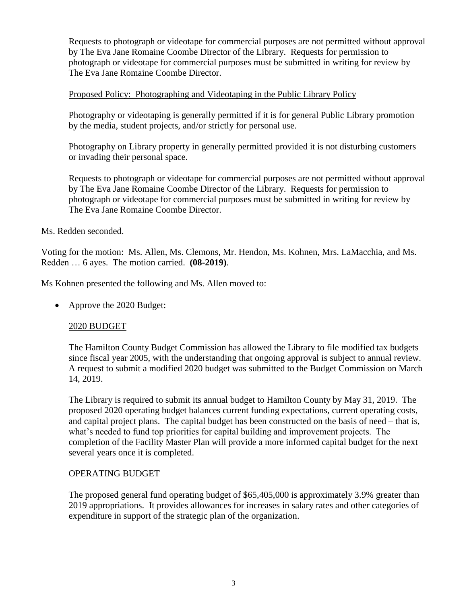Requests to photograph or videotape for commercial purposes are not permitted without approval by The Eva Jane Romaine Coombe Director of the Library. Requests for permission to photograph or videotape for commercial purposes must be submitted in writing for review by The Eva Jane Romaine Coombe Director.

#### Proposed Policy: Photographing and Videotaping in the Public Library Policy

Photography or videotaping is generally permitted if it is for general Public Library promotion by the media, student projects, and/or strictly for personal use.

Photography on Library property in generally permitted provided it is not disturbing customers or invading their personal space.

Requests to photograph or videotape for commercial purposes are not permitted without approval by The Eva Jane Romaine Coombe Director of the Library. Requests for permission to photograph or videotape for commercial purposes must be submitted in writing for review by The Eva Jane Romaine Coombe Director.

#### Ms. Redden seconded.

Voting for the motion: Ms. Allen, Ms. Clemons, Mr. Hendon, Ms. Kohnen, Mrs. LaMacchia, and Ms. Redden … 6 ayes. The motion carried. **(08-2019)**.

Ms Kohnen presented the following and Ms. Allen moved to:

• Approve the 2020 Budget:

### 2020 BUDGET

The Hamilton County Budget Commission has allowed the Library to file modified tax budgets since fiscal year 2005, with the understanding that ongoing approval is subject to annual review. A request to submit a modified 2020 budget was submitted to the Budget Commission on March 14, 2019.

The Library is required to submit its annual budget to Hamilton County by May 31, 2019. The proposed 2020 operating budget balances current funding expectations, current operating costs, and capital project plans. The capital budget has been constructed on the basis of need – that is, what's needed to fund top priorities for capital building and improvement projects. The completion of the Facility Master Plan will provide a more informed capital budget for the next several years once it is completed.

#### OPERATING BUDGET

The proposed general fund operating budget of \$65,405,000 is approximately 3.9% greater than 2019 appropriations. It provides allowances for increases in salary rates and other categories of expenditure in support of the strategic plan of the organization.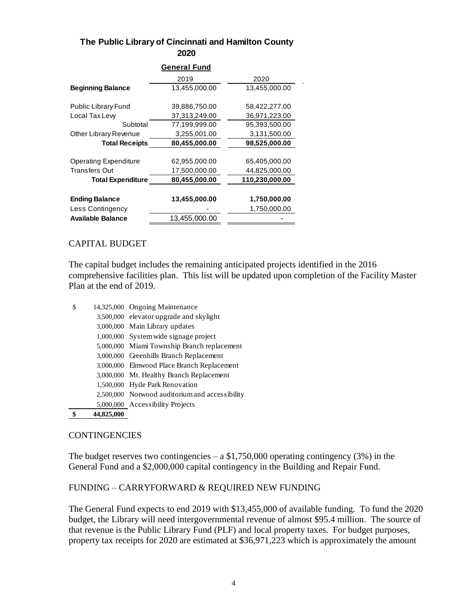#### **The Public Library of Cincinnati and Hamilton County 2020**

| General Fund                 |               |                |  |  |  |  |
|------------------------------|---------------|----------------|--|--|--|--|
|                              | 2019          | 2020           |  |  |  |  |
| <b>Beginning Balance</b>     | 13,455,000.00 | 13,455,000.00  |  |  |  |  |
| <b>Public Library Fund</b>   | 39,886,750.00 | 58,422,277.00  |  |  |  |  |
| Local Tax Lew                | 37,313,249.00 | 36,971,223.00  |  |  |  |  |
| Subtotal                     | 77,199,999.00 | 95,393,500.00  |  |  |  |  |
| Other Library Revenue        | 3,255,001.00  | 3,131,500.00   |  |  |  |  |
| <b>Total Receipts</b>        | 80,455,000.00 | 98,525,000.00  |  |  |  |  |
|                              |               |                |  |  |  |  |
| <b>Operating Expenditure</b> | 62,955,000.00 | 65,405,000.00  |  |  |  |  |
| <b>Transfers Out</b>         | 17,500,000.00 | 44,825,000.00  |  |  |  |  |
| <b>Total Expenditure</b>     | 80,455,000.00 | 110,230,000.00 |  |  |  |  |
|                              |               |                |  |  |  |  |
| <b>Ending Balance</b>        | 13,455,000.00 | 1,750,000.00   |  |  |  |  |
| Less Contingency             |               | 1,750,000.00   |  |  |  |  |
| <b>Available Balance</b>     | 13,455,000.00 |                |  |  |  |  |

#### CAPITAL BUDGET

The capital budget includes the remaining anticipated projects identified in the 2016 comprehensive facilities plan. This list will be updated upon completion of the Facility Master Plan at the end of 2019.

| \$ | 14,325,000 Ongoing Maintenance                 |
|----|------------------------------------------------|
|    | 3,500,000 elevator upgrade and skylight        |
|    | 3,000,000 Main Library updates                 |
|    | 1,000,000 System wide signage project          |
|    | 5,000,000 Miami Township Branch replacement    |
|    | 3,000,000 Greenhills Branch Replacement        |
|    | 3,000,000 Elmwood Place Branch Replacement     |
|    | 3,000,000 Mt. Healthy Branch Replacement       |
|    | 1,500,000 Hyde Park Renovation                 |
|    | 2,500,000 Norwood auditorium and accessibility |
|    | 5,000,000 Accessibility Projects               |

**\$ 44,825,000**

#### **CONTINGENCIES**

The budget reserves two contingencies  $- a $1,750,000$  operating contingency (3%) in the General Fund and a \$2,000,000 capital contingency in the Building and Repair Fund.

#### FUNDING – CARRYFORWARD & REQUIRED NEW FUNDING

The General Fund expects to end 2019 with \$13,455,000 of available funding. To fund the 2020 budget, the Library will need intergovernmental revenue of almost \$95.4 million. The source of that revenue is the Public Library Fund (PLF) and local property taxes. For budget purposes, property tax receipts for 2020 are estimated at \$36,971,223 which is approximately the amount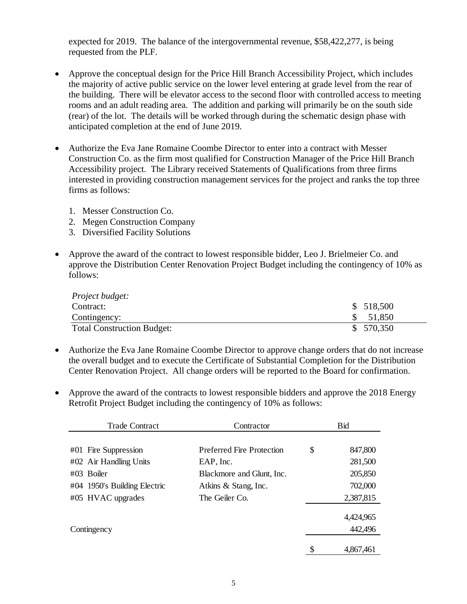expected for 2019. The balance of the intergovernmental revenue, \$58,422,277, is being requested from the PLF.

- Approve the conceptual design for the Price Hill Branch Accessibility Project, which includes the majority of active public service on the lower level entering at grade level from the rear of the building. There will be elevator access to the second floor with controlled access to meeting rooms and an adult reading area. The addition and parking will primarily be on the south side (rear) of the lot. The details will be worked through during the schematic design phase with anticipated completion at the end of June 2019.
- Authorize the Eva Jane Romaine Coombe Director to enter into a contract with Messer Construction Co. as the firm most qualified for Construction Manager of the Price Hill Branch Accessibility project. The Library received Statements of Qualifications from three firms interested in providing construction management services for the project and ranks the top three firms as follows:
	- 1. Messer Construction Co.
	- 2. Megen Construction Company
	- 3. Diversified Facility Solutions
- Approve the award of the contract to lowest responsible bidder, Leo J. Brielmeier Co. and approve the Distribution Center Renovation Project Budget including the contingency of 10% as follows:

| <i>Project budget:</i>            |           |
|-----------------------------------|-----------|
| Contract:                         | \$518,500 |
| Contingency:                      | 51,850    |
| <b>Total Construction Budget:</b> | \$570,350 |

- Authorize the Eva Jane Romaine Coombe Director to approve change orders that do not increase the overall budget and to execute the Certificate of Substantial Completion for the Distribution Center Renovation Project. All change orders will be reported to the Board for confirmation.
- Approve the award of the contracts to lowest responsible bidders and approve the 2018 Energy Retrofit Project Budget including the contingency of 10% as follows:

| Contractor                             | <b>Bid</b> |  |
|----------------------------------------|------------|--|
|                                        |            |  |
| \$<br><b>Preferred Fire Protection</b> | 847,800    |  |
| EAP, Inc.                              | 281,500    |  |
| Blackmore and Glunt, Inc.              | 205,850    |  |
| Atkins & Stang, Inc.                   | 702,000    |  |
| The Geiler Co.                         | 2,387,815  |  |
|                                        |            |  |
|                                        | 4,424,965  |  |
|                                        | 442,496    |  |
|                                        | 4,867,461  |  |
|                                        | \$         |  |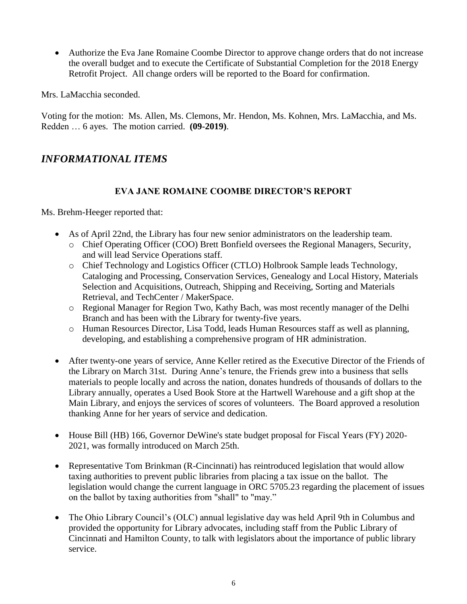Authorize the Eva Jane Romaine Coombe Director to approve change orders that do not increase the overall budget and to execute the Certificate of Substantial Completion for the 2018 Energy Retrofit Project. All change orders will be reported to the Board for confirmation.

Mrs. LaMacchia seconded.

Voting for the motion: Ms. Allen, Ms. Clemons, Mr. Hendon, Ms. Kohnen, Mrs. LaMacchia, and Ms. Redden … 6 ayes. The motion carried. **(09-2019)**.

# *INFORMATIONAL ITEMS*

### **EVA JANE ROMAINE COOMBE DIRECTOR'S REPORT**

Ms. Brehm-Heeger reported that:

- As of April 22nd, the Library has four new senior administrators on the leadership team.
	- o Chief Operating Officer (COO) Brett Bonfield oversees the Regional Managers, Security, and will lead Service Operations staff.
	- o Chief Technology and Logistics Officer (CTLO) Holbrook Sample leads Technology, Cataloging and Processing, Conservation Services, Genealogy and Local History, Materials Selection and Acquisitions, Outreach, Shipping and Receiving, Sorting and Materials Retrieval, and TechCenter / MakerSpace.
	- o Regional Manager for Region Two, Kathy Bach, was most recently manager of the Delhi Branch and has been with the Library for twenty-five years.
	- o Human Resources Director, Lisa Todd, leads Human Resources staff as well as planning, developing, and establishing a comprehensive program of HR administration.
- After twenty-one years of service, Anne Keller retired as the Executive Director of the Friends of the Library on March 31st. During Anne's tenure, the Friends grew into a business that sells materials to people locally and across the nation, donates hundreds of thousands of dollars to the Library annually, operates a Used Book Store at the Hartwell Warehouse and a gift shop at the Main Library, and enjoys the services of scores of volunteers. The Board approved a resolution thanking Anne for her years of service and dedication.
- House Bill (HB) 166, Governor DeWine's state budget proposal for Fiscal Years (FY) 2020-2021, was formally introduced on March 25th.
- Representative Tom Brinkman (R-Cincinnati) has reintroduced legislation that would allow taxing authorities to prevent public libraries from placing a tax issue on the ballot. The legislation would change the current language in ORC 5705.23 regarding the placement of issues on the ballot by taxing authorities from "shall" to "may."
- The Ohio Library Council's (OLC) annual legislative day was held April 9th in Columbus and provided the opportunity for Library advocates, including staff from the Public Library of Cincinnati and Hamilton County, to talk with legislators about the importance of public library service.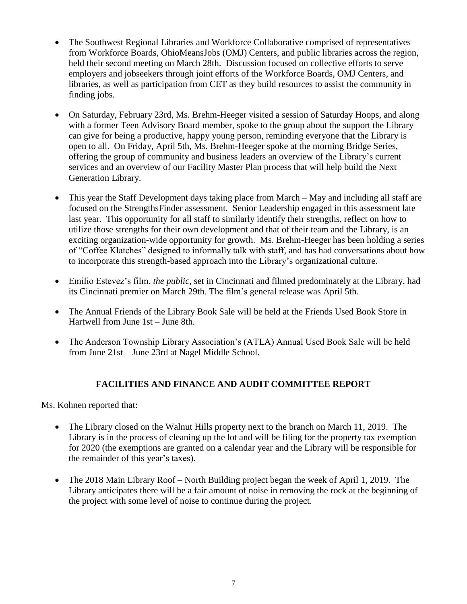- The Southwest Regional Libraries and Workforce Collaborative comprised of representatives from Workforce Boards, OhioMeansJobs (OMJ) Centers, and public libraries across the region, held their second meeting on March 28th. Discussion focused on collective efforts to serve employers and jobseekers through joint efforts of the Workforce Boards, OMJ Centers, and libraries, as well as participation from CET as they build resources to assist the community in finding jobs.
- On Saturday, February 23rd, Ms. Brehm-Heeger visited a session of Saturday Hoops, and along with a former Teen Advisory Board member, spoke to the group about the support the Library can give for being a productive, happy young person, reminding everyone that the Library is open to all. On Friday, April 5th, Ms. Brehm-Heeger spoke at the morning Bridge Series, offering the group of community and business leaders an overview of the Library's current services and an overview of our Facility Master Plan process that will help build the Next Generation Library.
- This year the Staff Development days taking place from March May and including all staff are focused on the StrengthsFinder assessment. Senior Leadership engaged in this assessment late last year. This opportunity for all staff to similarly identify their strengths, reflect on how to utilize those strengths for their own development and that of their team and the Library, is an exciting organization-wide opportunity for growth. Ms. Brehm-Heeger has been holding a series of "Coffee Klatches" designed to informally talk with staff, and has had conversations about how to incorporate this strength-based approach into the Library's organizational culture.
- Emilio Estevez's film, *the public*, set in Cincinnati and filmed predominately at the Library, had its Cincinnati premier on March 29th. The film's general release was April 5th.
- The Annual Friends of the Library Book Sale will be held at the Friends Used Book Store in Hartwell from June 1st – June 8th.
- The Anderson Township Library Association's (ATLA) Annual Used Book Sale will be held from June 21st – June 23rd at Nagel Middle School.

### **FACILITIES AND FINANCE AND AUDIT COMMITTEE REPORT**

Ms. Kohnen reported that:

- The Library closed on the Walnut Hills property next to the branch on March 11, 2019. The Library is in the process of cleaning up the lot and will be filing for the property tax exemption for 2020 (the exemptions are granted on a calendar year and the Library will be responsible for the remainder of this year's taxes).
- The 2018 Main Library Roof North Building project began the week of April 1, 2019. The Library anticipates there will be a fair amount of noise in removing the rock at the beginning of the project with some level of noise to continue during the project.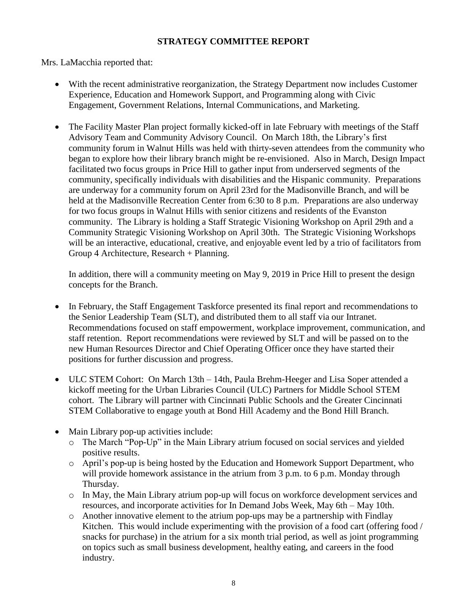### **STRATEGY COMMITTEE REPORT**

Mrs. LaMacchia reported that:

- With the recent administrative reorganization, the Strategy Department now includes Customer Experience, Education and Homework Support, and Programming along with Civic Engagement, Government Relations, Internal Communications, and Marketing.
- The Facility Master Plan project formally kicked-off in late February with meetings of the Staff Advisory Team and Community Advisory Council. On March 18th, the Library's first community forum in Walnut Hills was held with thirty-seven attendees from the community who began to explore how their library branch might be re-envisioned. Also in March, Design Impact facilitated two focus groups in Price Hill to gather input from underserved segments of the community, specifically individuals with disabilities and the Hispanic community. Preparations are underway for a community forum on April 23rd for the Madisonville Branch, and will be held at the Madisonville Recreation Center from 6:30 to 8 p.m. Preparations are also underway for two focus groups in Walnut Hills with senior citizens and residents of the Evanston community. The Library is holding a Staff Strategic Visioning Workshop on April 29th and a Community Strategic Visioning Workshop on April 30th. The Strategic Visioning Workshops will be an interactive, educational, creative, and enjoyable event led by a trio of facilitators from Group 4 Architecture, Research + Planning.

In addition, there will a community meeting on May 9, 2019 in Price Hill to present the design concepts for the Branch.

- In February, the Staff Engagement Taskforce presented its final report and recommendations to the Senior Leadership Team (SLT), and distributed them to all staff via our Intranet. Recommendations focused on staff empowerment, workplace improvement, communication, and staff retention. Report recommendations were reviewed by SLT and will be passed on to the new Human Resources Director and Chief Operating Officer once they have started their positions for further discussion and progress.
- ULC STEM Cohort: On March 13th 14th, Paula Brehm-Heeger and Lisa Soper attended a kickoff meeting for the Urban Libraries Council (ULC) Partners for Middle School STEM cohort. The Library will partner with Cincinnati Public Schools and the Greater Cincinnati STEM Collaborative to engage youth at Bond Hill Academy and the Bond Hill Branch.
- Main Library pop-up activities include:
	- o The March "Pop-Up" in the Main Library atrium focused on social services and yielded positive results.
	- o April's pop-up is being hosted by the Education and Homework Support Department, who will provide homework assistance in the atrium from 3 p.m. to 6 p.m. Monday through Thursday.
	- o In May, the Main Library atrium pop-up will focus on workforce development services and resources, and incorporate activities for In Demand Jobs Week, May 6th – May 10th.
	- o Another innovative element to the atrium pop-ups may be a partnership with Findlay Kitchen. This would include experimenting with the provision of a food cart (offering food / snacks for purchase) in the atrium for a six month trial period, as well as joint programming on topics such as small business development, healthy eating, and careers in the food industry.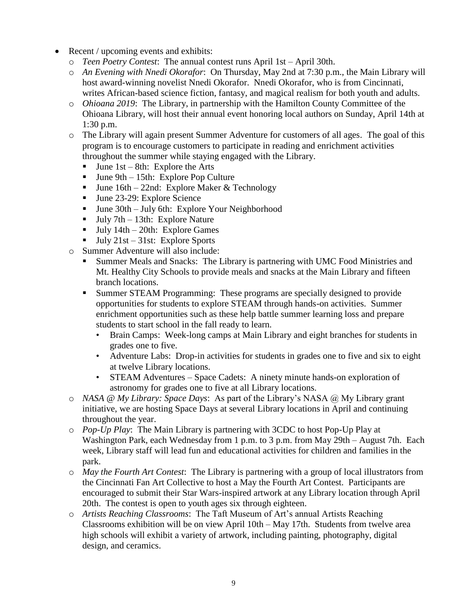- Recent / upcoming events and exhibits:
	- o *Teen Poetry Contest*: The annual contest runs April 1st April 30th.
	- o *An Evening with Nnedi Okorafor*: On Thursday, May 2nd at 7:30 p.m., the Main Library will host award-winning novelist Nnedi Okorafor. Nnedi Okorafor, who is from Cincinnati, writes African-based science fiction, fantasy, and magical realism for both youth and adults.
	- o *Ohioana 2019*: The Library, in partnership with the Hamilton County Committee of the Ohioana Library, will host their annual event honoring local authors on Sunday, April 14th at 1:30 p.m.
	- o The Library will again present Summer Adventure for customers of all ages. The goal of this program is to encourage customers to participate in reading and enrichment activities throughout the summer while staying engaged with the Library.
		- **June 1st** 8th: Explore the Arts
		- $\blacksquare$  June 9th 15th: Explore Pop Culture
		- **June 16th** 22nd: Explore Maker & Technology
		- Ullet 23-29: Explore Science
		- June 30th July 6th: Explore Your Neighborhood
		- **July 7th 13th: Explore Nature**
		- **July 14th 20th: Explore Games**
		- $\blacksquare$  July 21st 31st: Explore Sports
	- o Summer Adventure will also include:
		- Summer Meals and Snacks: The Library is partnering with UMC Food Ministries and Mt. Healthy City Schools to provide meals and snacks at the Main Library and fifteen branch locations.
		- Summer STEAM Programming: These programs are specially designed to provide opportunities for students to explore STEAM through hands-on activities. Summer enrichment opportunities such as these help battle summer learning loss and prepare students to start school in the fall ready to learn.
			- Brain Camps: Week-long camps at Main Library and eight branches for students in grades one to five.
			- Adventure Labs: Drop-in activities for students in grades one to five and six to eight at twelve Library locations.
			- STEAM Adventures Space Cadets: A ninety minute hands-on exploration of astronomy for grades one to five at all Library locations.
	- o *NASA @ My Library: Space Days*: As part of the Library's NASA @ My Library grant initiative, we are hosting Space Days at several Library locations in April and continuing throughout the year.
	- o *Pop-Up Play*: The Main Library is partnering with 3CDC to host Pop-Up Play at Washington Park, each Wednesday from 1 p.m. to 3 p.m. from May 29th – August 7th. Each week, Library staff will lead fun and educational activities for children and families in the park.
	- o *May the Fourth Art Contest*: The Library is partnering with a group of local illustrators from the Cincinnati Fan Art Collective to host a May the Fourth Art Contest. Participants are encouraged to submit their Star Wars-inspired artwork at any Library location through April 20th. The contest is open to youth ages six through eighteen.
	- o *Artists Reaching Classrooms*: The Taft Museum of Art's annual Artists Reaching Classrooms exhibition will be on view April 10th – May 17th. Students from twelve area high schools will exhibit a variety of artwork, including painting, photography, digital design, and ceramics.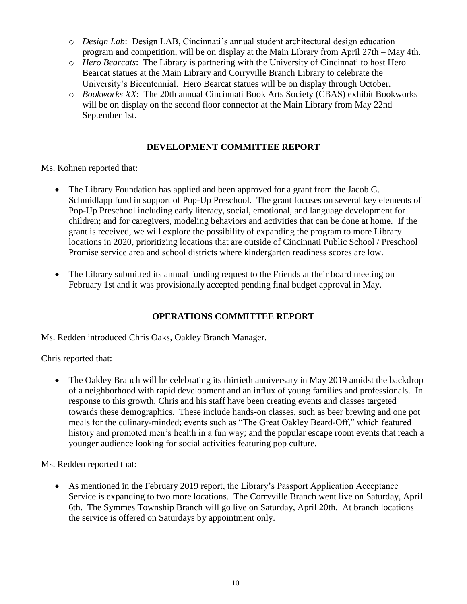- o *Design Lab*: Design LAB, Cincinnati's annual student architectural design education program and competition, will be on display at the Main Library from April 27th – May 4th.
- o *Hero Bearcats*: The Library is partnering with the University of Cincinnati to host Hero Bearcat statues at the Main Library and Corryville Branch Library to celebrate the University's Bicentennial. Hero Bearcat statues will be on display through October.
- o *Bookworks XX*: The 20th annual Cincinnati Book Arts Society (CBAS) exhibit Bookworks will be on display on the second floor connector at the Main Library from May 22nd – September 1st.

### **DEVELOPMENT COMMITTEE REPORT**

Ms. Kohnen reported that:

- The Library Foundation has applied and been approved for a grant from the Jacob G. Schmidlapp fund in support of Pop-Up Preschool. The grant focuses on several key elements of Pop-Up Preschool including early literacy, social, emotional, and language development for children; and for caregivers, modeling behaviors and activities that can be done at home. If the grant is received, we will explore the possibility of expanding the program to more Library locations in 2020, prioritizing locations that are outside of Cincinnati Public School / Preschool Promise service area and school districts where kindergarten readiness scores are low.
- The Library submitted its annual funding request to the Friends at their board meeting on February 1st and it was provisionally accepted pending final budget approval in May.

### **OPERATIONS COMMITTEE REPORT**

Ms. Redden introduced Chris Oaks, Oakley Branch Manager.

Chris reported that:

• The Oakley Branch will be celebrating its thirtieth anniversary in May 2019 amidst the backdrop of a neighborhood with rapid development and an influx of young families and professionals. In response to this growth, Chris and his staff have been creating events and classes targeted towards these demographics. These include hands-on classes, such as beer brewing and one pot meals for the culinary-minded; events such as "The Great Oakley Beard-Off," which featured history and promoted men's health in a fun way; and the popular escape room events that reach a younger audience looking for social activities featuring pop culture.

Ms. Redden reported that:

 As mentioned in the February 2019 report, the Library's Passport Application Acceptance Service is expanding to two more locations. The Corryville Branch went live on Saturday, April 6th. The Symmes Township Branch will go live on Saturday, April 20th. At branch locations the service is offered on Saturdays by appointment only.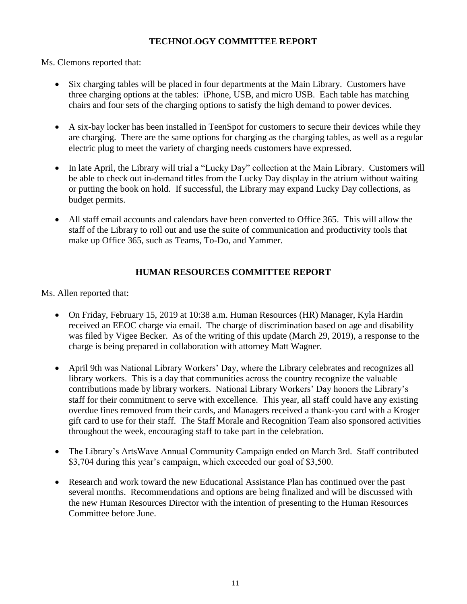### **TECHNOLOGY COMMITTEE REPORT**

Ms. Clemons reported that:

- Six charging tables will be placed in four departments at the Main Library. Customers have three charging options at the tables: iPhone, USB, and micro USB. Each table has matching chairs and four sets of the charging options to satisfy the high demand to power devices.
- A six-bay locker has been installed in TeenSpot for customers to secure their devices while they are charging. There are the same options for charging as the charging tables, as well as a regular electric plug to meet the variety of charging needs customers have expressed.
- In late April, the Library will trial a "Lucky Day" collection at the Main Library. Customers will be able to check out in-demand titles from the Lucky Day display in the atrium without waiting or putting the book on hold. If successful, the Library may expand Lucky Day collections, as budget permits.
- All staff email accounts and calendars have been converted to Office 365. This will allow the staff of the Library to roll out and use the suite of communication and productivity tools that make up Office 365, such as Teams, To-Do, and Yammer.

### **HUMAN RESOURCES COMMITTEE REPORT**

Ms. Allen reported that:

- On Friday, February 15, 2019 at 10:38 a.m. Human Resources (HR) Manager, Kyla Hardin received an EEOC charge via email. The charge of discrimination based on age and disability was filed by Vigee Becker. As of the writing of this update (March 29, 2019), a response to the charge is being prepared in collaboration with attorney Matt Wagner.
- April 9th was National Library Workers' Day, where the Library celebrates and recognizes all library workers. This is a day that communities across the country recognize the valuable contributions made by library workers. National Library Workers' Day honors the Library's staff for their commitment to serve with excellence. This year, all staff could have any existing overdue fines removed from their cards, and Managers received a thank-you card with a Kroger gift card to use for their staff. The Staff Morale and Recognition Team also sponsored activities throughout the week, encouraging staff to take part in the celebration.
- The Library's ArtsWave Annual Community Campaign ended on March 3rd. Staff contributed \$3,704 during this year's campaign, which exceeded our goal of \$3,500.
- Research and work toward the new Educational Assistance Plan has continued over the past several months. Recommendations and options are being finalized and will be discussed with the new Human Resources Director with the intention of presenting to the Human Resources Committee before June.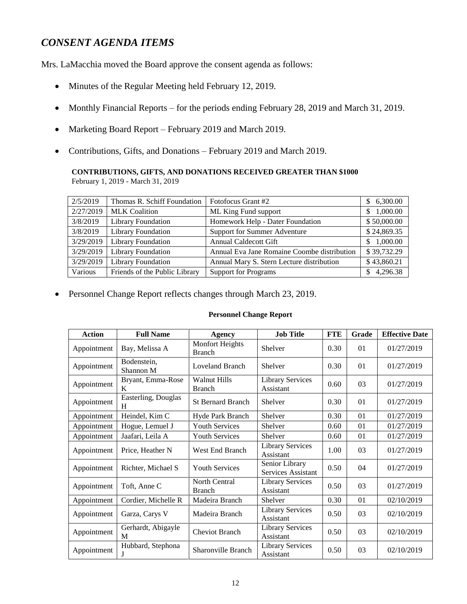## *CONSENT AGENDA ITEMS*

Mrs. LaMacchia moved the Board approve the consent agenda as follows:

- Minutes of the Regular Meeting held February 12, 2019.
- Monthly Financial Reports for the periods ending February 28, 2019 and March 31, 2019.
- Marketing Board Report February 2019 and March 2019.
- Contributions, Gifts, and Donations February 2019 and March 2019.

# **CONTRIBUTIONS, GIFTS, AND DONATIONS RECEIVED GREATER THAN \$1000**

February 1, 2019 - March 31, 2019

| 2/5/2019  | Thomas R. Schiff Foundation   | Fotofocus Grant #2                          | \$6,300.00     |
|-----------|-------------------------------|---------------------------------------------|----------------|
| 2/27/2019 | <b>MLK</b> Coalition          | ML King Fund support                        | 1,000.00<br>S. |
| 3/8/2019  | <b>Library Foundation</b>     | Homework Help - Dater Foundation            | \$50,000.00    |
| 3/8/2019  | Library Foundation            | Support for Summer Adventure                | \$24,869.35    |
| 3/29/2019 | Library Foundation            | <b>Annual Caldecott Gift</b>                | \$1,000.00     |
| 3/29/2019 | <b>Library Foundation</b>     | Annual Eva Jane Romaine Coombe distribution | \$39,732.29    |
| 3/29/2019 | Library Foundation            | Annual Mary S. Stern Lecture distribution   | \$43,860.21    |
| Various   | Friends of the Public Library | <b>Support for Programs</b>                 | 4,296.38       |

Personnel Change Report reflects changes through March 23, 2019.

#### **Personnel Change Report**

| <b>Action</b> | <b>Full Name</b>         | Agency                               | <b>Job Title</b>                     | <b>FTE</b> | Grade | <b>Effective Date</b> |
|---------------|--------------------------|--------------------------------------|--------------------------------------|------------|-------|-----------------------|
| Appointment   | Bay, Melissa A           | Monfort Heights<br><b>Branch</b>     | Shelver                              | 0.30       | 01    | 01/27/2019            |
| Appointment   | Bodenstein,<br>Shannon M | Loveland Branch                      | Shelver                              | 0.30       | 01    | 01/27/2019            |
| Appointment   | Bryant, Emma-Rose<br>K   | <b>Walnut Hills</b><br><b>Branch</b> | <b>Library Services</b><br>Assistant | 0.60       | 03    | 01/27/2019            |
| Appointment   | Easterling, Douglas<br>H | <b>St Bernard Branch</b>             | Shelver                              | 0.30       | 01    | 01/27/2019            |
| Appointment   | Heindel, Kim C           | Hyde Park Branch                     | Shelver                              | 0.30       | 01    | 01/27/2019            |
| Appointment   | Hogue, Lemuel J          | <b>Youth Services</b>                | Shelver                              | 0.60       | 01    | 01/27/2019            |
| Appointment   | Jaafari, Leila A         | <b>Youth Services</b>                | Shelver                              | 0.60       | 01    | 01/27/2019            |
| Appointment   | Price, Heather N         | West End Branch                      | <b>Library Services</b><br>Assistant | 1.00       | 03    | 01/27/2019            |
| Appointment   | Richter, Michael S       | <b>Youth Services</b>                | Senior Library<br>Services Assistant | 0.50       | 04    | 01/27/2019            |
| Appointment   | Toft, Anne C             | North Central<br><b>Branch</b>       | <b>Library Services</b><br>Assistant | 0.50       | 03    | 01/27/2019            |
| Appointment   | Cordier, Michelle R      | Madeira Branch                       | Shelver                              | 0.30       | 01    | 02/10/2019            |
| Appointment   | Garza, Carys V           | Madeira Branch                       | <b>Library Services</b><br>Assistant | 0.50       | 03    | 02/10/2019            |
| Appointment   | Gerhardt, Abigayle<br>M  | <b>Cheviot Branch</b>                | <b>Library Services</b><br>Assistant | 0.50       | 03    | 02/10/2019            |
| Appointment   | Hubbard, Stephona<br>J   | Sharonville Branch                   | <b>Library Services</b><br>Assistant | 0.50       | 03    | 02/10/2019            |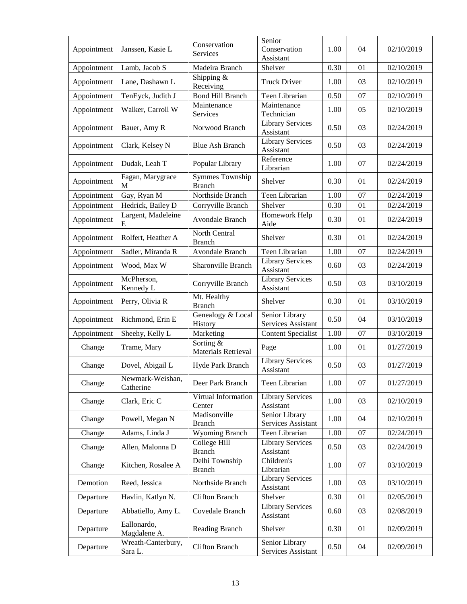| Appointment | Janssen, Kasie L              | Conservation<br>Services                              | Senior<br>Conservation<br>Assistant  | 1.00 | 04 | 02/10/2019 |
|-------------|-------------------------------|-------------------------------------------------------|--------------------------------------|------|----|------------|
| Appointment | Lamb, Jacob S                 | Madeira Branch                                        | Shelver                              | 0.30 | 01 | 02/10/2019 |
| Appointment | Lane, Dashawn L               | Shipping $&$<br>Receiving                             | <b>Truck Driver</b>                  | 1.00 | 03 | 02/10/2019 |
| Appointment | TenEyck, Judith J             | <b>Bond Hill Branch</b>                               | Teen Librarian                       | 0.50 | 07 | 02/10/2019 |
| Appointment | Walker, Carroll W             | Maintenance<br>Services                               | Maintenance<br>Technician            | 1.00 | 05 | 02/10/2019 |
| Appointment | Bauer, Amy R                  | Norwood Branch                                        | <b>Library Services</b><br>Assistant | 0.50 | 03 | 02/24/2019 |
| Appointment | Clark, Kelsey N               | <b>Blue Ash Branch</b>                                | <b>Library Services</b><br>Assistant | 0.50 | 03 | 02/24/2019 |
| Appointment | Dudak, Leah T                 | Popular Library                                       | Reference<br>Librarian               | 1.00 | 07 | 02/24/2019 |
| Appointment | Fagan, Marygrace<br>M         | Symmes Township<br><b>Branch</b>                      | Shelver                              | 0.30 | 01 | 02/24/2019 |
| Appointment | Gay, Ryan M                   | Northside Branch                                      | Teen Librarian                       | 1.00 | 07 | 02/24/2019 |
| Appointment | Hedrick, Bailey D             | Corryville Branch                                     | Shelver                              | 0.30 | 01 | 02/24/2019 |
| Appointment | Largent, Madeleine<br>E       | Avondale Branch                                       | Homework Help<br>Aide                | 0.30 | 01 | 02/24/2019 |
| Appointment | Rolfert, Heather A            | North Central<br><b>Branch</b>                        | Shelver                              | 0.30 | 01 | 02/24/2019 |
| Appointment | Sadler, Miranda R             | Avondale Branch                                       | Teen Librarian                       | 1.00 | 07 | 02/24/2019 |
| Appointment | Wood, Max W                   | Sharonville Branch                                    | <b>Library Services</b><br>Assistant | 0.60 | 03 | 02/24/2019 |
| Appointment | McPherson,<br>Kennedy L       | Corryville Branch                                     | <b>Library Services</b><br>Assistant | 0.50 | 03 | 03/10/2019 |
| Appointment | Perry, Olivia R               | Mt. Healthy<br><b>Branch</b>                          | Shelver                              | 0.30 | 01 | 03/10/2019 |
| Appointment | Richmond, Erin E              | Genealogy & Local<br>History                          | Senior Library<br>Services Assistant | 0.50 | 04 | 03/10/2019 |
| Appointment | Sheehy, Kelly L               | Marketing                                             | <b>Content Specialist</b>            | 1.00 | 07 | 03/10/2019 |
| Change      | Trame, Mary                   | Sorting $\overline{\&}$<br><b>Materials Retrieval</b> | Page                                 | 1.00 | 01 | 01/27/2019 |
| Change      | Dovel, Abigail L              | Hyde Park Branch                                      | <b>Library Services</b><br>Assistant | 0.50 | 03 | 01/27/2019 |
| Change      | Newmark-Weishan,<br>Catherine | Deer Park Branch                                      | Teen Librarian                       | 1.00 | 07 | 01/27/2019 |
| Change      | Clark, Eric C                 | Virtual Information<br>Center                         | <b>Library Services</b><br>Assistant | 1.00 | 03 | 02/10/2019 |
| Change      | Powell, Megan N               | Madisonville<br><b>Branch</b>                         | Senior Library<br>Services Assistant | 1.00 | 04 | 02/10/2019 |
| Change      | Adams, Linda J                | Wyoming Branch                                        | Teen Librarian                       | 1.00 | 07 | 02/24/2019 |
| Change      | Allen, Malonna D              | College Hill<br><b>Branch</b>                         | <b>Library Services</b><br>Assistant | 0.50 | 03 | 02/24/2019 |
| Change      | Kitchen, Rosalee A            | Delhi Township<br><b>Branch</b>                       | Children's<br>Librarian              | 1.00 | 07 | 03/10/2019 |
| Demotion    | Reed, Jessica                 | Northside Branch                                      | <b>Library Services</b><br>Assistant | 1.00 | 03 | 03/10/2019 |
| Departure   | Havlin, Katlyn N.             | <b>Clifton Branch</b>                                 | Shelver                              | 0.30 | 01 | 02/05/2019 |
| Departure   | Abbatiello, Amy L.            | Covedale Branch                                       | <b>Library Services</b><br>Assistant | 0.60 | 03 | 02/08/2019 |
| Departure   | Eallonardo,<br>Magdalene A.   | Reading Branch                                        | Shelver                              | 0.30 | 01 | 02/09/2019 |
| Departure   | Wreath-Canterbury,<br>Sara L. | <b>Clifton Branch</b>                                 | Senior Library<br>Services Assistant | 0.50 | 04 | 02/09/2019 |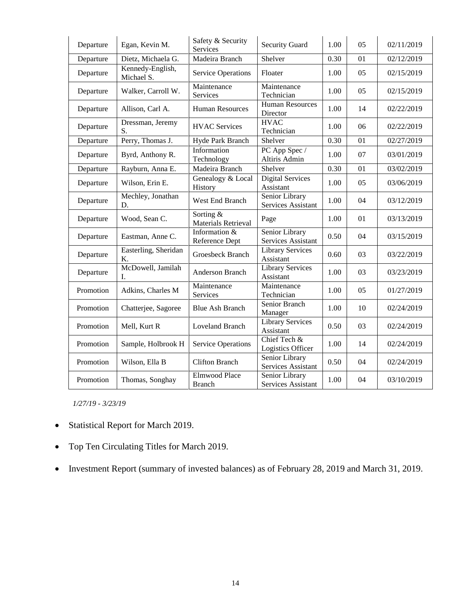| Departure | Egan, Kevin M.                 | Safety & Security<br>Services         | <b>Security Guard</b>                | 1.00 | 05 | 02/11/2019 |
|-----------|--------------------------------|---------------------------------------|--------------------------------------|------|----|------------|
| Departure | Dietz, Michaela G.             | Madeira Branch                        | Shelver                              | 0.30 | 01 | 02/12/2019 |
| Departure | Kennedy-English,<br>Michael S. | <b>Service Operations</b>             | Floater                              | 1.00 | 05 | 02/15/2019 |
| Departure | Walker, Carroll W.             | Maintenance<br>Services               | Maintenance<br>Technician            | 1.00 | 05 | 02/15/2019 |
| Departure | Allison, Carl A.               | <b>Human Resources</b>                | Human Resources<br>Director          | 1.00 | 14 | 02/22/2019 |
| Departure | Dressman, Jeremy<br>S.         | <b>HVAC Services</b>                  | <b>HVAC</b><br>Technician            | 1.00 | 06 | 02/22/2019 |
| Departure | Perry, Thomas J.               | Hyde Park Branch                      | Shelver                              | 0.30 | 01 | 02/27/2019 |
| Departure | Byrd, Anthony R.               | Information<br>Technology             | PC App Spec /<br>Altiris Admin       | 1.00 | 07 | 03/01/2019 |
| Departure | Rayburn, Anna E.               | Madeira Branch                        | Shelver                              | 0.30 | 01 | 03/02/2019 |
| Departure | Wilson, Erin E.                | Genealogy & Local<br>History          | <b>Digital Services</b><br>Assistant | 1.00 | 05 | 03/06/2019 |
| Departure | Mechley, Jonathan<br>D.        | West End Branch                       | Senior Library<br>Services Assistant | 1.00 | 04 | 03/12/2019 |
| Departure | Wood, Sean C.                  | Sorting &<br>Materials Retrieval      | Page                                 | 1.00 | 01 | 03/13/2019 |
| Departure | Eastman, Anne C.               | Information &<br>Reference Dept       | Senior Library<br>Services Assistant | 0.50 | 04 | 03/15/2019 |
| Departure | Easterling, Sheridan<br>K.     | Groesbeck Branch                      | <b>Library Services</b><br>Assistant | 0.60 | 03 | 03/22/2019 |
| Departure | McDowell, Jamilah<br>I.        | Anderson Branch                       | <b>Library Services</b><br>Assistant | 1.00 | 03 | 03/23/2019 |
| Promotion | Adkins, Charles M              | Maintenance<br>Services               | Maintenance<br>Technician            | 1.00 | 05 | 01/27/2019 |
| Promotion | Chatterjee, Sagoree            | <b>Blue Ash Branch</b>                | Senior Branch<br>Manager             | 1.00 | 10 | 02/24/2019 |
| Promotion | Mell, Kurt R                   | <b>Loveland Branch</b>                | <b>Library Services</b><br>Assistant | 0.50 | 03 | 02/24/2019 |
| Promotion | Sample, Holbrook H             | Service Operations                    | Chief Tech &<br>Logistics Officer    | 1.00 | 14 | 02/24/2019 |
| Promotion | Wilson, Ella B                 | <b>Clifton Branch</b>                 | Senior Library<br>Services Assistant | 0.50 | 04 | 02/24/2019 |
| Promotion | Thomas, Songhay                | <b>Elmwood Place</b><br><b>Branch</b> | Senior Library<br>Services Assistant | 1.00 | 04 | 03/10/2019 |

*1/27/19 - 3/23/19*

- Statistical Report for March 2019.
- Top Ten Circulating Titles for March 2019.
- Investment Report (summary of invested balances) as of February 28, 2019 and March 31, 2019.